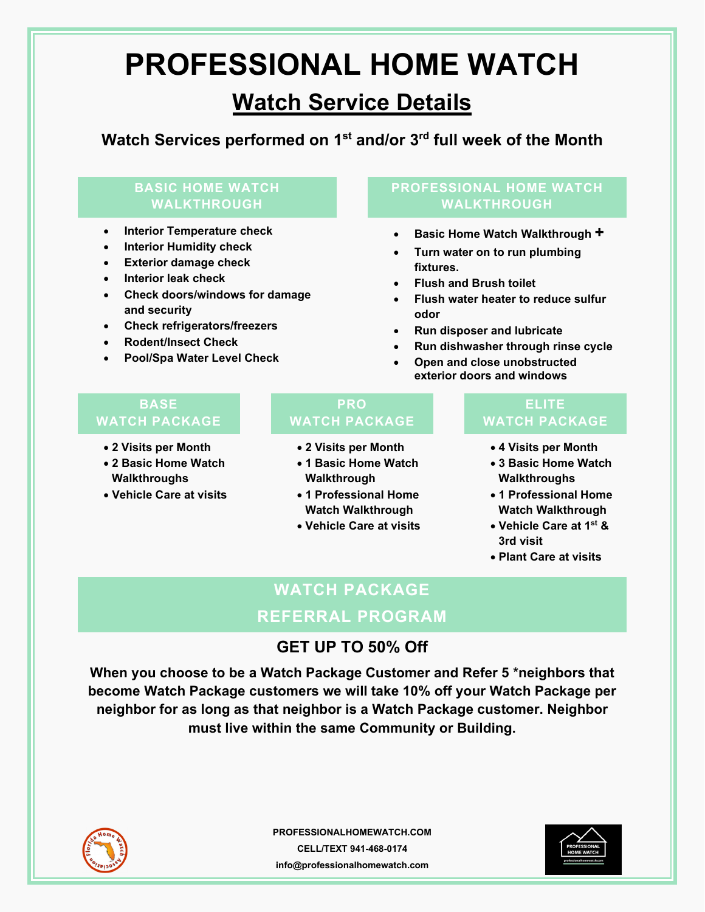# **PROFESSIONAL HOME WATCH**

## **Watch Service Details**

**Watch Services performed on 1st and/or 3rd full week of the Month** 

## **BASIC HOME WATCH WALKTHROUGH**

- **Interior Temperature check**
- **Interior Humidity check**
- **Exterior damage check**
- **Interior leak check**
- **Check doors/windows for damage and security**
- **Check refrigerators/freezers**
- **Rodent/Insect Check**
- **Pool/Spa Water Level Check**

## **PROFESSIONAL HOME WATCH WALKTHROUGH**

- **Basic Home Watch Walkthrough +**
- **Turn water on to run plumbing fixtures.**
- **Flush and Brush toilet**
- **Flush water heater to reduce sulfur odor**
- **Run disposer and lubricate**
- **Run dishwasher through rinse cycle**
- **Open and close unobstructed exterior doors and windows**

## **BASE WATCH PACKAGE**

- **2 Visits per Month**
- **2 Basic Home Watch Walkthroughs**
- **Vehicle Care at visits**

## **PRO WATCH PACKAGE**

- **2 Visits per Month**
- **1 Basic Home Watch Walkthrough**
- **1 Professional Home Watch Walkthrough**
- **Vehicle Care at visits**

## **ELITE WATCH PACKAGE**

- **4 Visits per Month**
- **3 Basic Home Watch Walkthroughs**
- **1 Professional Home Watch Walkthrough**
- **Vehicle Care at 1st & 3rd visit**
- **Plant Care at visits**

## **WATCH PACKAGE**

## **GET UP TO 50% Off**

**When you choose to be a Watch Package Customer and Refer 5 \*neighbors that become Watch Package customers we will take 10% off your Watch Package per neighbor for as long as that neighbor is a Watch Package customer. Neighbor must live within the same Community or Building.** 





**REFERRAL PROGRAM**